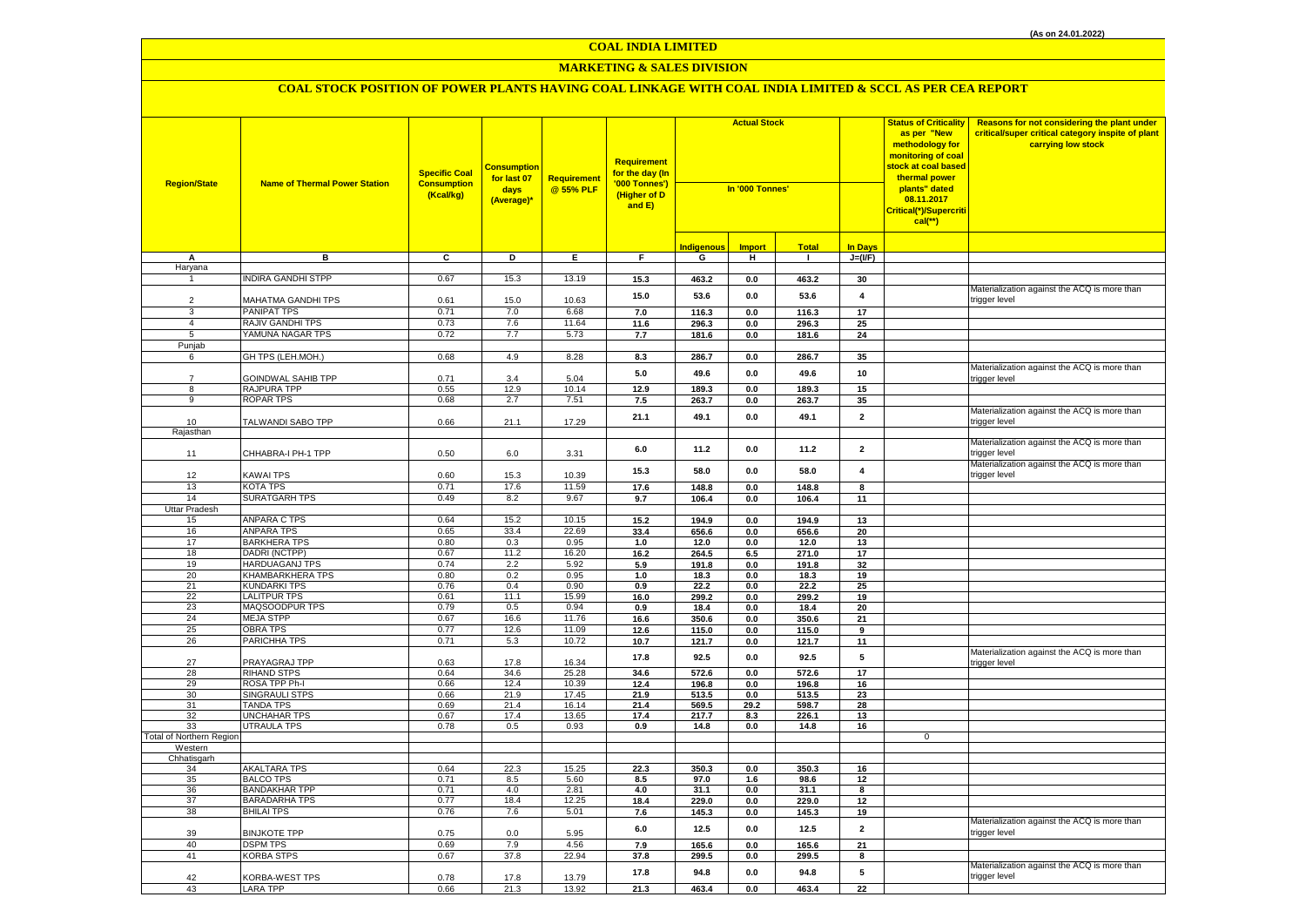## **MARKETING & SALES DIVISION**

| <b>Region/State</b>      | <b>Name of Thermal Power Station</b>         | <b>Specific Coal</b><br><b>Consumption</b><br>(Kcal/kg) | <mark>Consumption</mark><br>for last 07<br>days<br>(Average)* | Requirement<br>@ 55% PLF | <b>Requirement</b><br>for the day (In<br>'000 Tonnes')<br>(Higher of D<br>and E) | <b>Actual Stock</b><br>In '000 Tonnes' |                           |                |                         | <b>Status of Criticality</b><br>as per "New<br>methodology for<br>monitoring of coal<br><mark>stock at coal based</mark><br>thermal power<br>plants" dated<br>08.11.2017<br>Critical(*)/Supercriti<br>$cal$ (**) | Reasons for not considering the plant under<br>critical/super critical category inspite of plant<br>carrying low stock |
|--------------------------|----------------------------------------------|---------------------------------------------------------|---------------------------------------------------------------|--------------------------|----------------------------------------------------------------------------------|----------------------------------------|---------------------------|----------------|-------------------------|------------------------------------------------------------------------------------------------------------------------------------------------------------------------------------------------------------------|------------------------------------------------------------------------------------------------------------------------|
|                          |                                              |                                                         |                                                               |                          |                                                                                  | <b>Indigenous</b>                      | <b>Import</b>             | <b>Total</b>   | <b>In Days</b>          |                                                                                                                                                                                                                  |                                                                                                                        |
| А                        | в                                            | C                                                       | D                                                             | Ε.                       | F.                                                                               | G                                      | н                         | л.             | $J=(VF)$                |                                                                                                                                                                                                                  |                                                                                                                        |
| Haryana                  |                                              |                                                         |                                                               |                          |                                                                                  |                                        |                           |                |                         |                                                                                                                                                                                                                  |                                                                                                                        |
|                          | <b>NDIRA GANDHI STPP</b>                     | 0.67                                                    | 15.3                                                          | 13.19                    | 15.3                                                                             | 463.2                                  | 0.0                       | 463.2          | 30                      |                                                                                                                                                                                                                  | Materialization against the ACQ is more than                                                                           |
| $\overline{2}$           | MAHATMA GANDHI TPS                           | 0.61                                                    | 15.0                                                          | 10.63                    | 15.0                                                                             | 53.6                                   | 0.0                       | 53.6           | $\overline{\mathbf{4}}$ |                                                                                                                                                                                                                  | trigger level                                                                                                          |
| 3                        | PANIPAT TPS                                  | 0.71                                                    | 7.0                                                           | 6.68                     | 7.0                                                                              | 116.3                                  | 0.0                       | 116.3          | 17                      |                                                                                                                                                                                                                  |                                                                                                                        |
| $\overline{4}$           | <b>RAJIV GANDHI TPS</b>                      | 0.73                                                    | 7.6                                                           | 11.64                    | 11.6                                                                             | 296.3                                  | $0.0\,$                   | 296.3          | 25                      |                                                                                                                                                                                                                  |                                                                                                                        |
| 5                        | YAMUNA NAGAR TPS                             | 0.72                                                    | 7.7                                                           | 5.73                     | 7.7                                                                              | 181.6                                  | $0.0\,$                   | 181.6          | 24                      |                                                                                                                                                                                                                  |                                                                                                                        |
| Punjab                   |                                              |                                                         |                                                               |                          |                                                                                  |                                        |                           |                |                         |                                                                                                                                                                                                                  |                                                                                                                        |
| 6                        | GH TPS (LEH.MOH.)                            | 0.68                                                    | 4.9                                                           | 8.28                     | 8.3                                                                              | 286.7                                  | $\mathbf{0.0}$            | 286.7          | 35                      |                                                                                                                                                                                                                  |                                                                                                                        |
|                          |                                              |                                                         |                                                               |                          | 5.0                                                                              | 49.6                                   | $0.0\,$                   | 49.6           | 10                      |                                                                                                                                                                                                                  | Materialization against the ACQ is more than                                                                           |
| $\overline{7}$           | GOINDWAL SAHIB TPP                           | 0.71                                                    | 3.4                                                           | 5.04                     |                                                                                  |                                        |                           |                |                         |                                                                                                                                                                                                                  | rigger level:                                                                                                          |
| 8<br>9                   | RAJPURA TPP                                  | 0.55                                                    | 12.9                                                          | 10.14                    | 12.9                                                                             | 189.3                                  | $0.0\,$                   | 189.3          | 15                      |                                                                                                                                                                                                                  |                                                                                                                        |
|                          | <b>ROPAR TPS</b>                             | 0.68                                                    | 2.7                                                           | 7.51                     | 7.5                                                                              | 263.7                                  | $0.0\,$                   | 263.7          | 35                      |                                                                                                                                                                                                                  | Materialization against the ACQ is more than                                                                           |
| 10                       | TALWANDI SABO TPP                            | 0.66                                                    | 21.1                                                          | 17.29                    | 21.1                                                                             | 49.1                                   | $0.0\,$                   | 49.1           | $\mathbf 2$             |                                                                                                                                                                                                                  | trigger level                                                                                                          |
| Rajasthan                |                                              |                                                         |                                                               |                          |                                                                                  |                                        |                           |                |                         |                                                                                                                                                                                                                  |                                                                                                                        |
| 11                       | CHHABRA-I PH-1 TPP                           | 0.50                                                    | 6.0                                                           | 3.31                     | 6.0                                                                              | 11.2                                   | 0.0                       | 11.2           | $\overline{\mathbf{2}}$ |                                                                                                                                                                                                                  | Materialization against the ACQ is more than<br>rigger level                                                           |
|                          |                                              |                                                         |                                                               |                          | 15.3                                                                             | 58.0                                   | 0.0                       | 58.0           | $\overline{\mathbf{4}}$ |                                                                                                                                                                                                                  | Materialization against the ACQ is more than                                                                           |
| 12                       | <b>KAWAI TPS</b>                             | 0.60                                                    | 15.3                                                          | 10.39                    |                                                                                  |                                        |                           |                |                         |                                                                                                                                                                                                                  | trigger level                                                                                                          |
| 13                       | <b>KOTA TPS</b>                              | 0.71                                                    | 17.6                                                          | 11.59                    | 17.6                                                                             | 148.8                                  | 0.0                       | 148.8          | 8                       |                                                                                                                                                                                                                  |                                                                                                                        |
| 14                       | <b>SURATGARH TPS</b>                         | 0.49                                                    | 8.2                                                           | 9.67                     | 9.7                                                                              | 106.4                                  | 0.0                       | 106.4          | 11                      |                                                                                                                                                                                                                  |                                                                                                                        |
| Uttar Pradesh<br>15      | ANPARA C TPS                                 | 0.64                                                    | 15.2                                                          | 10.15                    | 15.2                                                                             | 194.9                                  | 0.0                       | 194.9          | 13                      |                                                                                                                                                                                                                  |                                                                                                                        |
| 16                       | ANPARA TPS                                   | 0.65                                                    | 33.4                                                          | 22.69                    | 33.4                                                                             | 656.6                                  | 0.0                       | 656.6          | 20                      |                                                                                                                                                                                                                  |                                                                                                                        |
| 17                       | <b>BARKHERA TPS</b>                          | 0.80                                                    | 0.3                                                           | 0.95                     | 1.0                                                                              | 12.0                                   | 0.0                       | 12.0           | 13                      |                                                                                                                                                                                                                  |                                                                                                                        |
| 18                       | DADRI (NCTPP)                                | 0.67                                                    | 11.2                                                          | 16.20                    | 16.2                                                                             | 264.5                                  | 6.5                       | 271.0          | 17                      |                                                                                                                                                                                                                  |                                                                                                                        |
| 19                       | <b>HARDUAGANJ TPS</b>                        | 0.74                                                    | 2.2                                                           | 5.92                     | 5.9                                                                              | 191.8                                  | 0.0                       | 191.8          | 32                      |                                                                                                                                                                                                                  |                                                                                                                        |
| 20                       | KHAMBARKHERA TPS                             | 0.80                                                    | 0.2                                                           | 0.95                     | 1.0                                                                              | 18.3                                   | $0.0\,$                   | 18.3           | 19                      |                                                                                                                                                                                                                  |                                                                                                                        |
| 21                       | <b>KUNDARKI TPS</b>                          | 0.76                                                    | 0.4                                                           | 0.90                     | 0.9                                                                              | 22.2                                   | 0.0                       | 22.2           | 25                      |                                                                                                                                                                                                                  |                                                                                                                        |
| 22                       | <b>LALITPUR TPS</b>                          | 0.61                                                    | 11.1                                                          | 15.99                    | 16.0                                                                             | 299.2                                  | $0.0\,$                   | 299.2          | 19                      |                                                                                                                                                                                                                  |                                                                                                                        |
| 23<br>24                 | MAQSOODPUR TPS<br><b>MEJA STPP</b>           | 0.79<br>0.67                                            | 0.5<br>16.6                                                   | 0.94<br>11.76            | 0.9                                                                              | 18.4                                   | 0.0                       | 18.4           | 20                      |                                                                                                                                                                                                                  |                                                                                                                        |
| 25                       | <b>OBRA TPS</b>                              | 0.77                                                    | 12.6                                                          | 11.09                    | 16.6<br>12.6                                                                     | 350.6<br>115.0                         | $\mathbf{0.0}$<br>$0.0\,$ | 350.6<br>115.0 | 21                      |                                                                                                                                                                                                                  |                                                                                                                        |
| 26                       | PARICHHA TPS                                 | 0.71                                                    | 5.3                                                           | 10.72                    | 10.7                                                                             | 121.7                                  | 0.0                       | 121.7          | 9<br>11                 |                                                                                                                                                                                                                  |                                                                                                                        |
|                          |                                              |                                                         |                                                               |                          |                                                                                  |                                        |                           |                |                         |                                                                                                                                                                                                                  | Materialization against the ACQ is more than                                                                           |
| 27                       | PRAYAGRAJ TPP                                | 0.63                                                    | 17.8                                                          | 16.34                    | 17.8                                                                             | 92.5                                   | 0.0                       | 92.5           | 5                       |                                                                                                                                                                                                                  | rigger level                                                                                                           |
| 28                       | <b>RIHAND STPS</b>                           | 0.64                                                    | 34.6                                                          | 25.28                    | 34.6                                                                             | 572.6                                  | 0.0                       | 572.6          | 17                      |                                                                                                                                                                                                                  |                                                                                                                        |
| 29                       | ROSA TPP Ph-I                                | 0.66                                                    | 12.4                                                          | 10.39                    | 12.4                                                                             | 196.8                                  | 0.0                       | 196.8          | 16                      |                                                                                                                                                                                                                  |                                                                                                                        |
| 30                       | <b>SINGRAULI STPS</b>                        | 0.66                                                    | 21.9                                                          | 17.45                    | 21.9                                                                             | 513.5                                  | $0.0\,$                   | 513.5          | 23                      |                                                                                                                                                                                                                  |                                                                                                                        |
| 31<br>32                 | <b>TANDA TPS</b>                             | 0.69<br>0.67                                            | 21.4<br>17.4                                                  | 16.14                    | 21.4<br>17.4                                                                     | 569.5<br>217.7                         | 29.2<br>8.3               | 598.7          | 28<br>13                |                                                                                                                                                                                                                  |                                                                                                                        |
| 33                       | <b>UNCHAHAR TPS</b><br>UTRAULA TPS           | 0.78                                                    | 0.5                                                           | 13.65<br>0.93            | 0.9                                                                              | 14.8                                   | 0.0                       | 226.1<br>14.8  | 16                      |                                                                                                                                                                                                                  |                                                                                                                        |
| Total of Northern Region |                                              |                                                         |                                                               |                          |                                                                                  |                                        |                           |                |                         | $\mathbf 0$                                                                                                                                                                                                      |                                                                                                                        |
| Western                  |                                              |                                                         |                                                               |                          |                                                                                  |                                        |                           |                |                         |                                                                                                                                                                                                                  |                                                                                                                        |
| Chhatisgarh              |                                              |                                                         |                                                               |                          |                                                                                  |                                        |                           |                |                         |                                                                                                                                                                                                                  |                                                                                                                        |
| 34                       | AKALTARA TPS                                 | 0.64                                                    | 22.3                                                          | 15.25                    | 22.3                                                                             | 350.3                                  | 0.0                       | 350.3          | 16                      |                                                                                                                                                                                                                  |                                                                                                                        |
| 35                       | <b>BALCO TPS</b>                             | 0.71                                                    | 8.5                                                           | 5.60                     | 8.5                                                                              | 97.0                                   | 1.6                       | 98.6           | 12                      |                                                                                                                                                                                                                  |                                                                                                                        |
| 36<br>37                 | <b>BANDAKHAR TPP</b><br><b>BARADARHA TPS</b> | 0.71<br>0.77                                            | 4.0<br>18.4                                                   | 2.81<br>12.25            | 4.0                                                                              | 31.1<br>229.0                          | 0.0                       | 31.1<br>229.0  | 8<br>12                 |                                                                                                                                                                                                                  |                                                                                                                        |
| 38                       | <b>BHILAI TPS</b>                            | 0.76                                                    | 7.6                                                           | 5.01                     | 18.4<br>7.6                                                                      | 145.3                                  | 0.0<br>$0.0\,$            | 145.3          | 19                      |                                                                                                                                                                                                                  |                                                                                                                        |
|                          |                                              |                                                         |                                                               |                          | $6.0\,$                                                                          | 12.5                                   | 0.0                       | 12.5           | $\overline{2}$          |                                                                                                                                                                                                                  | Materialization against the ACQ is more than                                                                           |
| 39                       | <b>BINJKOTE TPP</b>                          | 0.75                                                    | 0.0                                                           | 5.95                     |                                                                                  |                                        |                           |                |                         |                                                                                                                                                                                                                  | trigger level                                                                                                          |
| 40                       | <b>DSPM TPS</b>                              | 0.69                                                    | 7.9                                                           | 4.56                     | 7.9                                                                              | 165.6                                  | 0.0                       | 165.6          | 21                      |                                                                                                                                                                                                                  |                                                                                                                        |
| 41                       | <b>KORBA STPS</b>                            | 0.67                                                    | 37.8                                                          | 22.94                    | 37.8                                                                             | 299.5                                  | $0.0\,$                   | 299.5          | 8                       |                                                                                                                                                                                                                  |                                                                                                                        |
| 42                       | KORBA-WEST TPS                               | 0.78                                                    | 17.8                                                          | 13.79                    | 17.8                                                                             | 94.8                                   | 0.0<br>0.0                | 94.8           | 5<br>$\overline{22}$    |                                                                                                                                                                                                                  | Materialization against the ACQ is more than<br>trigger level                                                          |
| 43                       | <b>LARA TPP</b>                              | 0.66                                                    | 21.3                                                          | 13.92                    | 21.3                                                                             | 463.4                                  |                           | 463.4          |                         |                                                                                                                                                                                                                  |                                                                                                                        |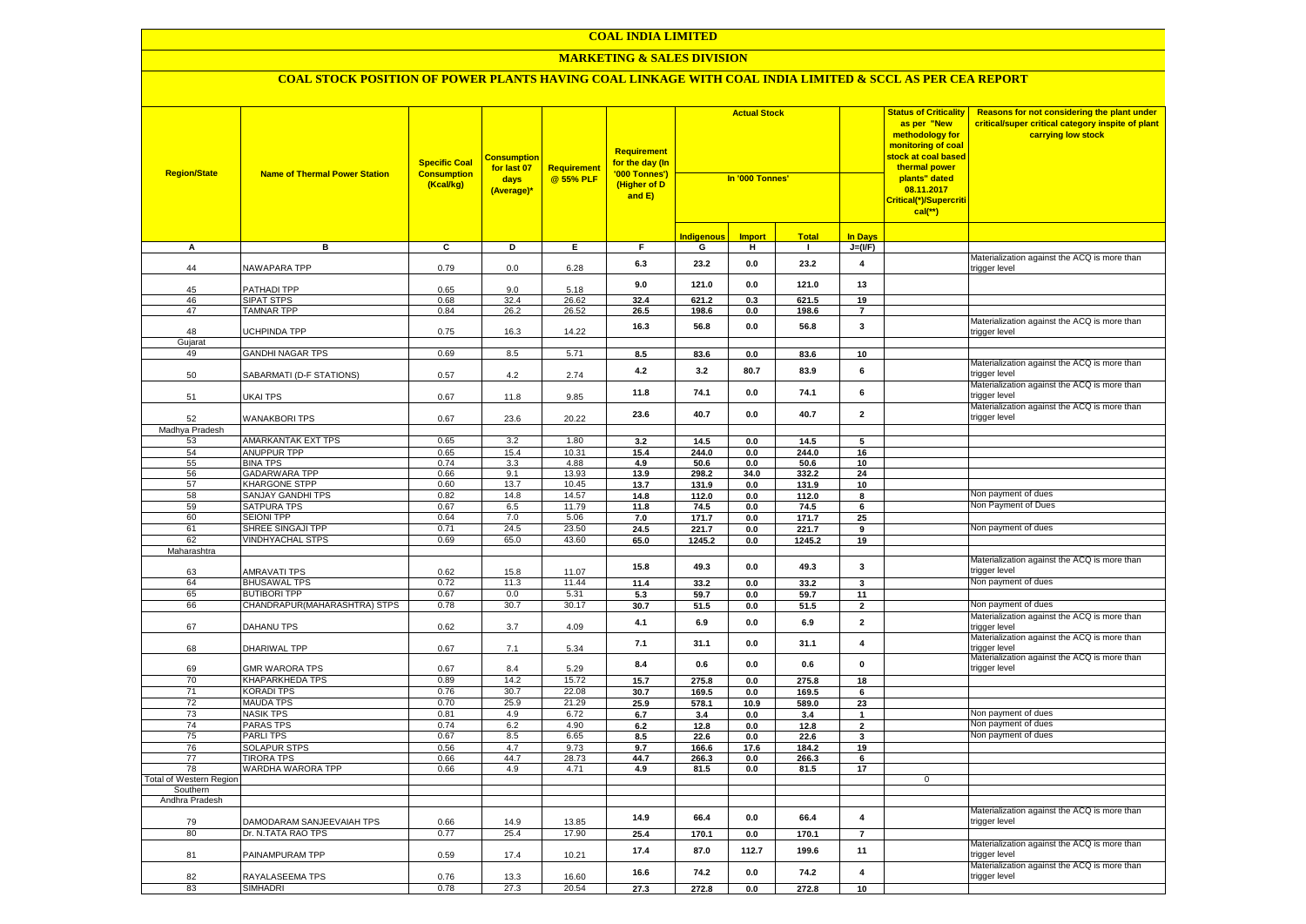#### **MARKETING & SALES DIVISION**

| <b>Region/State</b>            | <b>Name of Thermal Power Station</b>           | <b>Specific Coal</b><br><b>Consumption</b><br>(Kcal/kg) | <b>Consumption</b><br>for last 07<br>days<br>(Average)* | Requirement<br>@ 55% PLF | Requirement<br>f <mark>or the day (In</mark><br>'000 Tonnes')<br>(Higher of D<br>and E) | <b>Actual Stock</b><br>In '000 Tonnes' |               |                |                         | <b>Status of Criticality</b><br>as per "New<br>methodology for<br>monitoring of coal<br><mark>stock at coal based</mark><br>thermal power<br>plants" dated<br>08.11.2017<br>Critical(*)/Supercriti<br>$cal$ (**) | Reasons for not considering the plant under<br>critical/super critical category inspite of plant<br>carrying low stock |
|--------------------------------|------------------------------------------------|---------------------------------------------------------|---------------------------------------------------------|--------------------------|-----------------------------------------------------------------------------------------|----------------------------------------|---------------|----------------|-------------------------|------------------------------------------------------------------------------------------------------------------------------------------------------------------------------------------------------------------|------------------------------------------------------------------------------------------------------------------------|
|                                |                                                |                                                         |                                                         |                          |                                                                                         | <b>Indigenous</b>                      | <b>Import</b> | <b>Total</b>   | <b>In Days</b>          |                                                                                                                                                                                                                  |                                                                                                                        |
| А                              | в                                              | $\overline{c}$                                          | Þ                                                       | E                        | $\overline{F}$                                                                          | G                                      | н             | $\blacksquare$ | $J=(VF)$                |                                                                                                                                                                                                                  |                                                                                                                        |
| 44                             | <b>NAWAPARA TPP</b>                            | 0.79                                                    | 0.0                                                     | 6.28                     | 6.3                                                                                     | 23.2                                   | 0.0           | 23.2           | $\overline{\mathbf{4}}$ |                                                                                                                                                                                                                  | Materialization against the ACQ is more than<br>rigger level                                                           |
| 45                             | PATHADI TPP                                    | 0.65                                                    | 9.0                                                     | 5.18                     | 9.0                                                                                     | 121.0                                  | 0.0           | 121.0          | 13                      |                                                                                                                                                                                                                  |                                                                                                                        |
| 46                             | <b>SIPAT STPS</b>                              | 0.68                                                    | 32.4                                                    | 26.62                    | 32.4                                                                                    | 621.2                                  | 0.3           | 621.5          | 19                      |                                                                                                                                                                                                                  |                                                                                                                        |
| 47                             | <b>TAMNAR TPP</b>                              | 0.84                                                    | 26.2                                                    | $26.\overline{52}$       | 26.5                                                                                    | 198.6                                  | 0.0           | 198.6          | $\overline{7}$          |                                                                                                                                                                                                                  |                                                                                                                        |
| 48<br>Gujarat                  | UCHPINDA TPP                                   | 0.75                                                    | 16.3                                                    | 14.22                    | 16.3                                                                                    | 56.8                                   | 0.0           | 56.8           | 3                       |                                                                                                                                                                                                                  | Materialization against the ACQ is more than<br>trigger level                                                          |
| 49                             | <b>GANDHI NAGAR TPS</b>                        | 0.69                                                    | 8.5                                                     | 5.71                     | 8.5                                                                                     | 83.6                                   | 0.0           | 83.6           | 10                      |                                                                                                                                                                                                                  |                                                                                                                        |
| 50                             | SABARMATI (D-F STATIONS)                       | 0.57                                                    | 4.2                                                     | 2.74                     | 4.2                                                                                     | 3.2                                    | 80.7          | 83.9           | 6                       |                                                                                                                                                                                                                  | Materialization against the ACQ is more than<br>trigger level                                                          |
| 51                             | UKAI TPS                                       | 0.67                                                    | 11.8                                                    | 9.85                     | 11.8                                                                                    | 74.1                                   | 0.0           | 74.1           | 6                       |                                                                                                                                                                                                                  | Materialization against the ACQ is more than<br>rigger level:                                                          |
| 52                             | <b>WANAKBORI TPS</b>                           | 0.67                                                    | 23.6                                                    | 20.22                    | 23.6                                                                                    | 40.7                                   | 0.0           | 40.7           | $\overline{\mathbf{2}}$ |                                                                                                                                                                                                                  | Materialization against the ACQ is more than<br>trigger level                                                          |
| Madhya Pradesh                 |                                                |                                                         |                                                         |                          |                                                                                         |                                        |               |                |                         |                                                                                                                                                                                                                  |                                                                                                                        |
| 53                             | <b>AMARKANTAK EXT TPS</b>                      | 0.65                                                    | 3.2                                                     | 1.80                     | 3.2                                                                                     | 14.5                                   | 0.0           | 14.5           | 5                       |                                                                                                                                                                                                                  |                                                                                                                        |
| 54                             | <b>ANUPPUR TPP</b>                             | 0.65                                                    | 15.4                                                    | 10.31                    | 15.4                                                                                    | 244.0                                  | 0.0           | 244.0          | 16                      |                                                                                                                                                                                                                  |                                                                                                                        |
| 55                             | <b>BINA TPS</b>                                | 0.74                                                    | 3.3                                                     | 4.88                     | 4.9                                                                                     | 50.6                                   | 0.0           | 50.6           | 10                      |                                                                                                                                                                                                                  |                                                                                                                        |
| 56                             | <b>GADARWARA TPP</b>                           | 0.66                                                    | 9.1                                                     | 13.93                    | 13.9                                                                                    | 298.2                                  | 34.0          | 332.2          | 24                      |                                                                                                                                                                                                                  |                                                                                                                        |
| 57                             | <b>KHARGONE STPP</b>                           | 0.60                                                    | 13.7                                                    | 10.45                    | 13.7                                                                                    | 131.9                                  | 0.0           | 131.9          | 10                      |                                                                                                                                                                                                                  |                                                                                                                        |
| 58<br>59                       | <b>SANJAY GANDHI TPS</b><br><b>SATPURA TPS</b> | 0.82                                                    | 14.8                                                    | 14.57                    | 14.8                                                                                    | 112.0                                  | 0.0           | 112.0          | 8                       |                                                                                                                                                                                                                  | Non payment of dues<br>Non Payment of Dues                                                                             |
| 60                             | <b>SEIONI TPP</b>                              | 0.67<br>0.64                                            | 6.5<br>7.0                                              | 11.79<br>5.06            | 11.8                                                                                    | 74.5<br>171.7                          | 0.0<br>0.0    | 74.5<br>171.7  | $6\overline{6}$<br>25   |                                                                                                                                                                                                                  |                                                                                                                        |
| 61                             | SHREE SINGAJI TPP                              | 0.71                                                    | 24.5                                                    | 23.50                    | 7.0<br>24.5                                                                             | 221.7                                  | 0.0           | 221.7          | 9                       |                                                                                                                                                                                                                  | Non payment of dues                                                                                                    |
| 62                             | <b>VINDHYACHAL STPS</b>                        | 0.69                                                    | 65.0                                                    | 43.60                    | 65.0                                                                                    | 1245.2                                 | $0.0\,$       | 1245.2         | 19                      |                                                                                                                                                                                                                  |                                                                                                                        |
| Maharashtra                    |                                                |                                                         |                                                         |                          |                                                                                         |                                        |               |                |                         |                                                                                                                                                                                                                  |                                                                                                                        |
| 63                             | <b>AMRAVATI TPS</b>                            | 0.62                                                    | 15.8                                                    | 11.07                    | 15.8                                                                                    | 49.3                                   | 0.0           | 49.3           | $\mathbf{3}$            |                                                                                                                                                                                                                  | Materialization against the ACQ is more than<br>rigger level:                                                          |
| 64                             | <b>BHUSAWAL TPS</b>                            | 0.72                                                    | 11.3                                                    | 11.44                    | 11.4                                                                                    | 33.2                                   | $0.0\,$       | 33.2           | 3                       |                                                                                                                                                                                                                  | Non payment of dues                                                                                                    |
| 65                             | <b>BUTIBORI TPP</b>                            | 0.67                                                    | 0.0                                                     | 5.31                     | 5.3                                                                                     | 59.7                                   | 0.0           | 59.7           | 11                      |                                                                                                                                                                                                                  |                                                                                                                        |
| 66                             | CHANDRAPUR (MAHARASHTRA) STPS                  | 0.78                                                    | 30.7                                                    | 30.17                    | 30.7                                                                                    | 51.5                                   | 0.0           | 51.5           | $\overline{2}$          |                                                                                                                                                                                                                  | Non payment of dues                                                                                                    |
| 67                             | DAHANU TPS                                     | 0.62                                                    | 3.7                                                     | 4.09                     | 4.1                                                                                     | 6.9                                    | 0.0           | 6.9            | $\overline{\mathbf{2}}$ |                                                                                                                                                                                                                  | Materialization against the ACQ is more than<br>trigger level                                                          |
| 68                             | DHARIWAL TPP                                   | 0.67                                                    | 7.1                                                     | 5.34                     | 7.1                                                                                     | 31.1                                   | 0.0           | 31.1           | $\overline{\mathbf{4}}$ |                                                                                                                                                                                                                  | Materialization against the ACQ is more than<br>trigger level                                                          |
| 69                             | <b>GMR WARORA TPS</b>                          | 0.67                                                    | 8.4                                                     | 5.29                     | 8.4                                                                                     | 0.6                                    | 0.0           | 0.6            | $\mathbf 0$             |                                                                                                                                                                                                                  | Materialization against the ACQ is more than<br>trigger level                                                          |
| 70                             | <b>KHAPARKHEDA TPS</b>                         | 0.89                                                    | 14.2                                                    | 15.72                    | 15.7                                                                                    | 275.8                                  | 0.0           | 275.8          | 18                      |                                                                                                                                                                                                                  |                                                                                                                        |
| 71                             | <b>KORADI TPS</b>                              | 0.76                                                    | 30.7                                                    | 22.08                    | 30.7                                                                                    | 169.5                                  | $0.0\,$       | 169.5          | 6                       |                                                                                                                                                                                                                  |                                                                                                                        |
| 72                             | <b>MAUDA TPS</b>                               | 0.70                                                    | 25.9                                                    | 21.29                    | 25.9                                                                                    | 578.1                                  | 10.9          | 589.0          | 23                      |                                                                                                                                                                                                                  |                                                                                                                        |
| 73<br>74                       | <b>NASIK TPS</b><br><b>PARAS TPS</b>           | 0.81<br>0.74                                            | 4.9<br>6.2                                              | 6.72<br>4.90             | 6.7                                                                                     | 3.4                                    | 0.0           | 3.4            | $\mathbf{1}$            |                                                                                                                                                                                                                  | Non payment of dues<br>Non payment of dues                                                                             |
| 75                             | <b>PARLITPS</b>                                | 0.67                                                    | 8.5                                                     | 6.65                     | 6.2                                                                                     | 12.8<br>22.6                           | 0.0           | 12.8<br>22.6   | $\mathbf 2$             |                                                                                                                                                                                                                  | Non payment of dues                                                                                                    |
| 76                             | <b>SOLAPUR STPS</b>                            | 0.56                                                    | 4.7                                                     | 9.73                     | 8.5<br>9.7                                                                              | 166.6                                  | 0.0<br>17.6   | 184.2          | 3<br>19                 |                                                                                                                                                                                                                  |                                                                                                                        |
| 77                             | <b>TIRORA TPS</b>                              | 0.66                                                    | 44.7                                                    | 28.73                    | 44.7                                                                                    | 266.3                                  | 0.0           | 266.3          | 6                       |                                                                                                                                                                                                                  |                                                                                                                        |
| 78                             | WARDHA WARORA TPP                              | 0.66                                                    | 4.9                                                     | 4.71                     | 4.9                                                                                     | 81.5                                   | 0.0           | 81.5           | 17                      |                                                                                                                                                                                                                  |                                                                                                                        |
| <b>Total of Western Region</b> |                                                |                                                         |                                                         |                          |                                                                                         |                                        |               |                |                         | $\mathbf 0$                                                                                                                                                                                                      |                                                                                                                        |
| Southern                       |                                                |                                                         |                                                         |                          |                                                                                         |                                        |               |                |                         |                                                                                                                                                                                                                  |                                                                                                                        |
| Andhra Pradesh                 |                                                |                                                         |                                                         |                          |                                                                                         |                                        |               |                |                         |                                                                                                                                                                                                                  |                                                                                                                        |
| 79                             | DAMODARAM SANJEEVAIAH TPS                      | 0.66                                                    | 14.9                                                    | 13.85                    | 14.9                                                                                    | 66.4                                   | 0.0           | 66.4           | $\overline{\mathbf{4}}$ |                                                                                                                                                                                                                  | Materialization against the ACQ is more than<br>trigger level                                                          |
| 80                             | Dr. N.TATA RAO TPS                             | 0.77                                                    | 25.4                                                    | 17.90                    | 25.4                                                                                    | 170.1                                  | 0.0           | 170.1          | $\overline{7}$          |                                                                                                                                                                                                                  | Materialization against the ACQ is more than                                                                           |
| 81                             | PAINAMPURAM TPP                                | 0.59                                                    | 17.4                                                    | 10.21                    | 17.4                                                                                    | 87.0                                   | 112.7         | 199.6          | 11                      |                                                                                                                                                                                                                  | rigger level                                                                                                           |
| 82                             | RAYALASEEMA TPS                                | 0.76                                                    | 13.3                                                    | 16.60                    | 16.6                                                                                    | 74.2                                   | 0.0           | 74.2           | 4                       |                                                                                                                                                                                                                  | Materialization against the ACQ is more than<br>trigger level                                                          |
| 83                             | <b>SIMHADRI</b>                                | 0.78                                                    | 27.3                                                    | 20.54                    | 27.3                                                                                    | 272.8                                  | 0.0           | 272.8          | 10                      |                                                                                                                                                                                                                  |                                                                                                                        |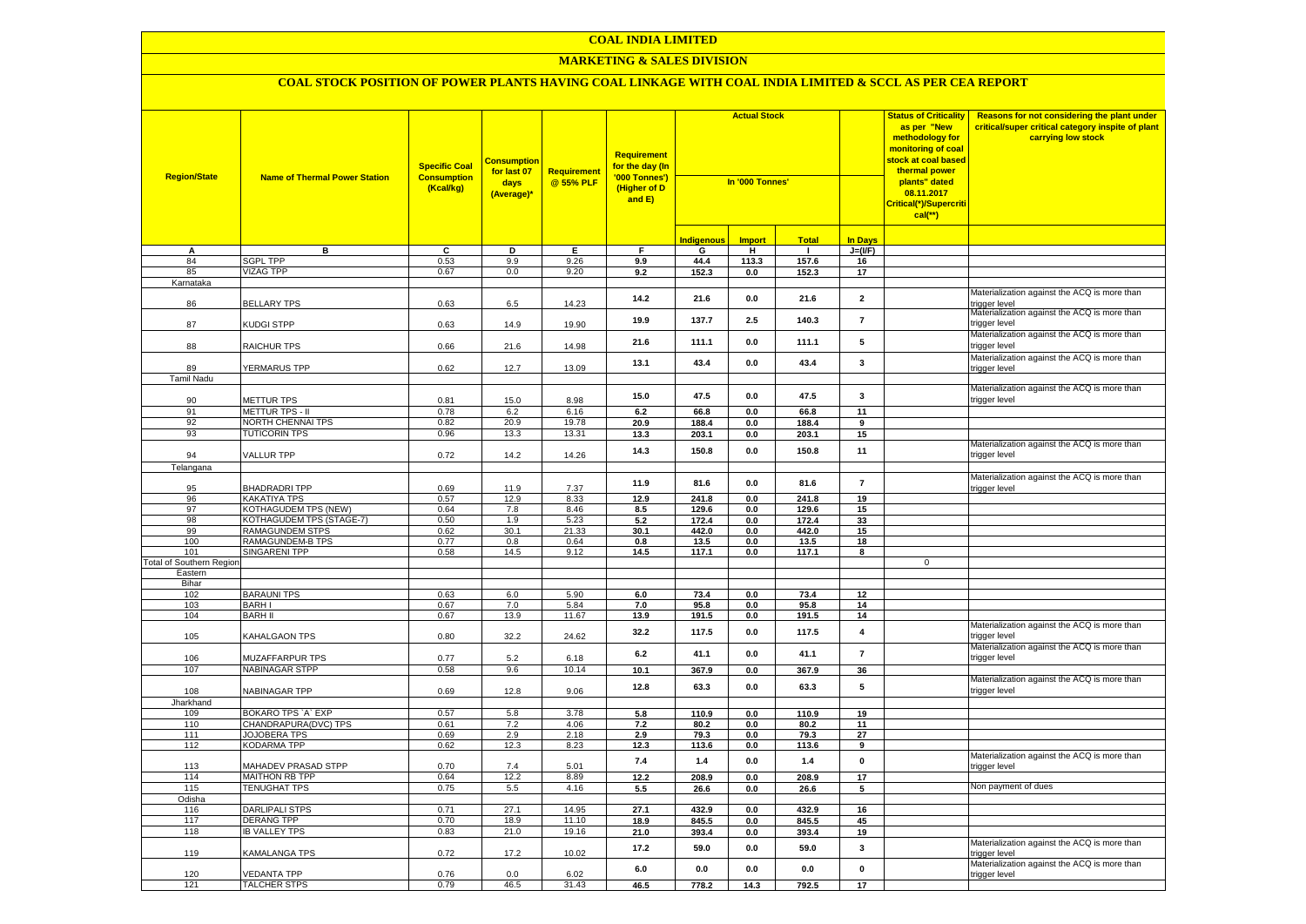#### **MARKETING & SALES DIVISION**

| <b>Region/State</b>             | <b>Name of Thermal Power Station</b>               | <b>Specific Coal</b><br><b>Consumption</b><br>(Kcal/kg) | <b>Consumption</b><br>for last 07<br>days<br>(Average)* | Requirement<br>@ 55% PLF | <b>Requirement</b><br>f <mark>or the day (In</mark><br>'000 Tonnes')<br>(Higher of D<br>and E) | <b>Actual Stock</b><br>In '000 Tonnes' |                    |                |                          | <b>Status of Criticality</b><br>as per "New<br>methodology for<br>monitoring of coal<br><mark>stock at coal based</mark><br>thermal power<br>plants" dated<br>08.11.2017<br>Critical(*)/Supercriti<br>$cal$ (**) | Reasons for not considering the plant under<br>critical/super critical category inspite of plant<br>carrying low stock |
|---------------------------------|----------------------------------------------------|---------------------------------------------------------|---------------------------------------------------------|--------------------------|------------------------------------------------------------------------------------------------|----------------------------------------|--------------------|----------------|--------------------------|------------------------------------------------------------------------------------------------------------------------------------------------------------------------------------------------------------------|------------------------------------------------------------------------------------------------------------------------|
|                                 |                                                    |                                                         |                                                         |                          |                                                                                                | <b>Indigenous</b>                      | <b>Import</b>      | <b>Total</b>   | <b>In Days</b>           |                                                                                                                                                                                                                  |                                                                                                                        |
| А                               | в                                                  | c                                                       | D                                                       | Е                        | F                                                                                              | G                                      | Ŧ                  |                | $J=(VF)$                 |                                                                                                                                                                                                                  |                                                                                                                        |
| 84                              | <b>SGPL TPP</b>                                    | 0.53                                                    | 9.9                                                     | 9.26                     | 9.9                                                                                            | 44.4                                   | 113.3              | 157.6          | 16                       |                                                                                                                                                                                                                  |                                                                                                                        |
| 85                              | <b>VIZAG TPP</b>                                   | 0.67                                                    | $0.0\,$                                                 | 9.20                     | 9.2                                                                                            | 152.3                                  | 0.0                | 152.3          | 17                       |                                                                                                                                                                                                                  |                                                                                                                        |
| Karnataka                       |                                                    |                                                         |                                                         |                          |                                                                                                |                                        |                    |                |                          |                                                                                                                                                                                                                  |                                                                                                                        |
| 86                              | <b>BELLARY TPS</b>                                 | 0.63                                                    | 6.5                                                     | 14.23                    | 14.2                                                                                           | 21.6                                   | 0.0                | 21.6           | $\overline{\mathbf{2}}$  |                                                                                                                                                                                                                  | Materialization against the ACQ is more than<br>rigger level:                                                          |
| 87                              | KUDGI STPP                                         | 0.63                                                    | 14.9                                                    | 19.90                    | 19.9                                                                                           | 137.7                                  | 2.5                | 140.3          | $\overline{\phantom{a}}$ |                                                                                                                                                                                                                  | Materialization against the ACQ is more than<br>trigger level                                                          |
| 88                              | RAICHUR TPS                                        | 0.66                                                    | 21.6                                                    | 14.98                    | 21.6                                                                                           | 111.1                                  | 0.0                | 111.1          | 5                        |                                                                                                                                                                                                                  | Materialization against the ACQ is more than<br>rigger level                                                           |
| 89                              | YERMARUS TPP                                       | 0.62                                                    | 12.7                                                    | 13.09                    | 13.1                                                                                           | 43.4                                   | 0.0                | 43.4           | 3                        |                                                                                                                                                                                                                  | Materialization against the ACQ is more than<br>trigger level                                                          |
| Tamil Nadu                      |                                                    |                                                         |                                                         |                          |                                                                                                |                                        |                    |                |                          |                                                                                                                                                                                                                  |                                                                                                                        |
| 90                              | <b>METTUR TPS</b>                                  | 0.81                                                    | 15.0                                                    | 8.98                     | 15.0                                                                                           | 47.5                                   | 0.0                | 47.5           | $\mathbf{3}$             |                                                                                                                                                                                                                  | Materialization against the ACQ is more than<br>trigger level                                                          |
| 91                              | METTUR TPS - II                                    | 0.78                                                    | 6.2                                                     | 6.16                     | 6.2                                                                                            | 66.8                                   | 0.0                | 66.8           | 11                       |                                                                                                                                                                                                                  |                                                                                                                        |
| 92                              | NORTH CHENNAI TPS                                  | 0.82                                                    | 20.9                                                    | 19.78                    | 20.9                                                                                           | 188.4                                  | $0.0\,$            | 188.4          | 9                        |                                                                                                                                                                                                                  |                                                                                                                        |
| 93                              | <b>TUTICORIN TPS</b>                               | 0.96                                                    | 13.3                                                    | 13.31                    | 13.3                                                                                           | 203.1                                  | 0.0                | 203.1          | 15                       |                                                                                                                                                                                                                  |                                                                                                                        |
| 94                              | <b>VALLUR TPP</b>                                  | 0.72                                                    | 14.2                                                    | 14.26                    | 14.3                                                                                           | 150.8                                  | 0.0                | 150.8          | 11                       |                                                                                                                                                                                                                  | Materialization against the ACQ is more than<br>rigger level                                                           |
| Telangana                       |                                                    |                                                         |                                                         |                          |                                                                                                |                                        |                    |                |                          |                                                                                                                                                                                                                  |                                                                                                                        |
|                                 |                                                    |                                                         |                                                         |                          | 11.9                                                                                           | 81.6                                   | 0.0                | 81.6           | $\overline{7}$           |                                                                                                                                                                                                                  | Materialization against the ACQ is more than                                                                           |
| 95                              | <b>BHADRADRITPP</b>                                | 0.69                                                    | 11.9                                                    | 7.37                     |                                                                                                |                                        |                    |                |                          |                                                                                                                                                                                                                  | trigger level                                                                                                          |
| 96                              | <b>KAKATIYA TPS</b>                                | 0.57                                                    | 12.9                                                    | 8.33                     | 12.9                                                                                           | 241.8                                  | 0.0                | 241.8          | 19                       |                                                                                                                                                                                                                  |                                                                                                                        |
| 97                              | <b>KOTHAGUDEM TPS (NEW)</b>                        | 0.64                                                    | 7.8                                                     | 8.46                     | 8.5                                                                                            | 129.6                                  | 0.0                | 129.6          | 15                       |                                                                                                                                                                                                                  |                                                                                                                        |
| 98<br>99                        | KOTHAGUDEM TPS (STAGE-7)<br><b>RAMAGUNDEM STPS</b> | 0.50<br>0.62                                            | 1.9<br>30.1                                             | 5.23<br>21.33            | 5.2<br>30.1                                                                                    | 172.4<br>442.0                         | $0.0\,$<br>$0.0\,$ | 172.4<br>442.0 | 33<br>15                 |                                                                                                                                                                                                                  |                                                                                                                        |
| 100                             | RAMAGUNDEM-B TPS                                   | 0.77                                                    | $0.8\,$                                                 | 0.64                     | 0.8                                                                                            | 13.5                                   | $0.0\,$            | 13.5           | 18                       |                                                                                                                                                                                                                  |                                                                                                                        |
| 101                             | <b>SINGARENI TPP</b>                               | 0.58                                                    | 14.5                                                    | 9.12                     | 14.5                                                                                           | 117.1                                  | 0.0                | 117.1          | 8                        |                                                                                                                                                                                                                  |                                                                                                                        |
| <b>Total of Southern Region</b> |                                                    |                                                         |                                                         |                          |                                                                                                |                                        |                    |                |                          | $\mathbf 0$                                                                                                                                                                                                      |                                                                                                                        |
| Eastern                         |                                                    |                                                         |                                                         |                          |                                                                                                |                                        |                    |                |                          |                                                                                                                                                                                                                  |                                                                                                                        |
| Bihar                           |                                                    |                                                         |                                                         |                          |                                                                                                |                                        |                    |                |                          |                                                                                                                                                                                                                  |                                                                                                                        |
| 102                             | <b>BARAUNI TPS</b>                                 | 0.63                                                    | 6.0                                                     | 5.90                     | 6.0                                                                                            | 73.4                                   | 0.0                | 73.4           | 12                       |                                                                                                                                                                                                                  |                                                                                                                        |
| 103                             | <b>BARH I</b>                                      | 0.67                                                    | 7.0                                                     | 5.84                     | 7.0                                                                                            | 95.8                                   | 0.0                | 95.8           | 14                       |                                                                                                                                                                                                                  |                                                                                                                        |
| 104                             | <b>BARH II</b>                                     | 0.67                                                    | 13.9                                                    | 11.67                    | 13.9                                                                                           | 191.5                                  | 0.0                | 191.5          | 14                       |                                                                                                                                                                                                                  | Materialization against the ACQ is more than                                                                           |
| 105                             | KAHALGAON TPS                                      | 0.80                                                    | 32.2                                                    | 24.62                    | 32.2                                                                                           | 117.5                                  | 0.0                | 117.5          | 4                        |                                                                                                                                                                                                                  | trigger level                                                                                                          |
| 106                             | <b>MUZAFFARPUR TPS</b>                             | 0.77                                                    | 5.2                                                     | 6.18                     | 6.2                                                                                            | 41.1                                   | 0.0                | 41.1           | $\overline{7}$           |                                                                                                                                                                                                                  | Materialization against the ACQ is more than<br>trigger level                                                          |
| 107                             | <b>NABINAGAR STPP</b>                              | 0.58                                                    | 9.6                                                     | 10.14                    | 10.1                                                                                           | 367.9                                  | $0.0\,$            | 367.9          | 36                       |                                                                                                                                                                                                                  |                                                                                                                        |
| 108                             | NABINAGAR TPP                                      | 0.69                                                    | 12.8                                                    | 9.06                     | 12.8                                                                                           | 63.3                                   | 0.0                | 63.3           | 5                        |                                                                                                                                                                                                                  | Materialization against the ACQ is more than<br>trigger level                                                          |
| Jharkhand                       |                                                    |                                                         |                                                         |                          |                                                                                                |                                        |                    |                |                          |                                                                                                                                                                                                                  |                                                                                                                        |
| 109<br>110                      | BOKARO TPS `A` EXP<br>CHANDRAPURA(DVC) TPS         | 0.57<br>0.61                                            | 5.8<br>7.2                                              | 3.78<br>4.06             | 5.8<br>7.2                                                                                     | 110.9<br>80.2                          | 0.0<br>0.0         | 110.9<br>80.2  | 19<br>11                 |                                                                                                                                                                                                                  |                                                                                                                        |
| 111                             | <b>JOJOBERA TPS</b>                                | 0.69                                                    | 2.9                                                     | 2.18                     | 2.9                                                                                            | 79.3                                   | 0.0                | 79.3           | 27                       |                                                                                                                                                                                                                  |                                                                                                                        |
| 112                             | <b>KODARMA TPP</b>                                 | 0.62                                                    | 12.3                                                    | 8.23                     | 12.3                                                                                           | 113.6                                  | $0.0\,$            | 113.6          | 9                        |                                                                                                                                                                                                                  |                                                                                                                        |
| 113                             | MAHADEV PRASAD STPP                                | 0.70                                                    | 7.4                                                     | 5.01                     | 7.4                                                                                            | 1.4                                    | 0.0                | 1.4            | $\mathbf 0$              |                                                                                                                                                                                                                  | Materialization against the ACQ is more than<br>trigger level                                                          |
| 114                             | <b>MAITHON RB TPP</b>                              | 0.64                                                    | 12.2                                                    | 8.89                     | 12.2                                                                                           | 208.9                                  | 0.0                | 208.9          | 17                       |                                                                                                                                                                                                                  |                                                                                                                        |
| 115                             | <b>TENUGHAT TPS</b>                                | 0.75                                                    | 5.5                                                     | 4.16                     | 5.5                                                                                            | 26.6                                   | 0.0                | 26.6           | 5                        |                                                                                                                                                                                                                  | Non payment of dues                                                                                                    |
| Odisha                          |                                                    |                                                         |                                                         |                          |                                                                                                |                                        |                    |                |                          |                                                                                                                                                                                                                  |                                                                                                                        |
| 116                             | <b>DARLIPALI STPS</b>                              | 0.71                                                    | 27.1                                                    | 14.95                    | 27.1                                                                                           | 432.9                                  | 0.0                | 432.9          | 16                       |                                                                                                                                                                                                                  |                                                                                                                        |
| 117                             | <b>DERANG TPP</b>                                  | 0.70                                                    | 18.9                                                    | 11.10                    | 18.9                                                                                           | 845.5                                  | 0.0                | 845.5          | 45                       |                                                                                                                                                                                                                  |                                                                                                                        |
| 118                             | <b>IB VALLEY TPS</b>                               | 0.83                                                    | 21.0                                                    | 19.16                    | 21.0                                                                                           | 393.4                                  | 0.0                | 393.4          | 19                       |                                                                                                                                                                                                                  |                                                                                                                        |
| 119                             | KAMALANGA TPS                                      | 0.72                                                    | 17.2                                                    | 10.02                    | 17.2                                                                                           | 59.0                                   | $0.0\,$            | 59.0           | 3                        |                                                                                                                                                                                                                  | Materialization against the ACQ is more than<br>rigger level                                                           |
| 120                             | <b>VEDANTA TPP</b>                                 | 0.76                                                    | 0.0                                                     | 6.02                     | 6.0                                                                                            | 0.0                                    | 0.0                | 0.0            | $\mathbf{0}$             |                                                                                                                                                                                                                  | Materialization against the ACQ is more than<br>trigger level                                                          |
| 121                             | <b>TALCHER STPS</b>                                | 0.79                                                    | 46.5                                                    | 31.43                    | 46.5                                                                                           | 778.2                                  | 14.3               | 792.5          | $\overline{17}$          |                                                                                                                                                                                                                  |                                                                                                                        |